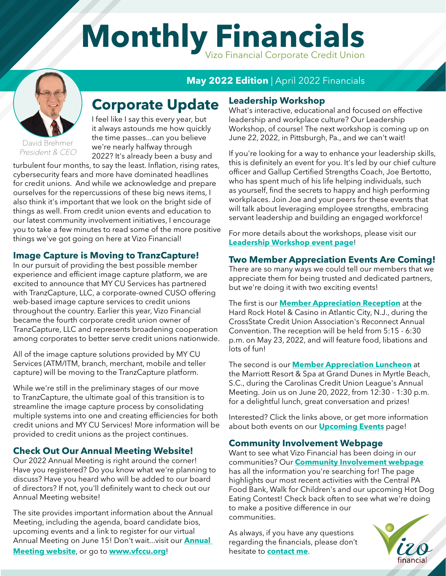# Monthly Financials



David Brehmer President & CEO I feel like I say this every year, but it always astounds me how quickly the time passes...can you believe we're nearly halfway through 2022? It's already been a busy and

**Corporate Update**

turbulent four months, to say the least. Inflation, rising rates, cybersecurity fears and more have dominated headlines for credit unions. And while we acknowledge and prepare ourselves for the repercussions of these big news items, I also think it's important that we look on the bright side of things as well. From credit union events and education to our latest community involvement initiatives, I encourage you to take a few minutes to read some of the more positive things we've got going on here at Vizo Financial!

### **Image Capture is Moving to TranzCapture!**

In our pursuit of providing the best possible member experience and efficient image capture platform, we are excited to announce that MY CU Services has partnered with TranzCapture, LLC, a corporate-owned CUSO offering web-based image capture services to credit unions throughout the country. Earlier this year, Vizo Financial became the fourth corporate credit union owner of TranzCapture, LLC and represents broadening cooperation among corporates to better serve credit unions nationwide.

All of the image capture solutions provided by MY CU Services (ATM/ITM, branch, merchant, mobile and teller capture) will be moving to the TranzCapture platform.

While we're still in the preliminary stages of our move to TranzCapture, the ultimate goal of this transition is to streamline the image capture process by consolidating multiple systems into one and creating efficiencies for both credit unions and MY CU Services! More information will be provided to credit unions as the project continues.

### **Check Out Our Annual Meeting Website!**

Our 2022 Annual Meeting is right around the corner! Have you registered? Do you know what we're planning to discuss? Have you heard who will be added to our board of directors? If not, you'll definitely want to check out our Annual Meeting website!

The site provides important information about the Annual Meeting, including the agenda, board candidate bios, upcoming events and a link to register for our virtual Annual Meeting on June 15! Don't wait...visit our **[Annual](https://www.vfccu.org/2022_Annual_Meeting/index.html)  [Meeting website](https://www.vfccu.org/2022_Annual_Meeting/index.html)**, or go to **[www.vfccu.org](https://vfccu.org/)**!

# **May 2022 Edition** | April 2022 Financials

#### **Leadership Workshop**

What's interactive, educational and focused on effective leadership and workplace culture? Our Leadership Workshop, of course! The next workshop is coming up on June 22, 2022, in Pittsburgh, Pa., and we can't wait!

If you're looking for a way to enhance your leadership skills, this is definitely an event for you. It's led by our chief culture officer and Gallup Certified Strengths Coach, Joe Bertotto, who has spent much of his life helping individuals, such as yourself, find the secrets to happy and high performing workplaces. Join Joe and your peers for these events that will talk about leveraging employee strengths, embracing servant leadership and building an engaged workforce!

For more details about the workshops, please visit our **[Leadership Workshop event page](https://cvent.me/9e72rk?RefId=Monthly+Financials)**!

### **Two Member Appreciation Events Are Coming!**

There are so many ways we could tell our members that we appreciate them for being trusted and dedicated partners, but we're doing it with two exciting events!

The first is our **[Member Appreciation Reception](https://cvent.me/5a3RQq?RefId=Monthly+Financials)** at the Hard Rock Hotel & Casino in Atlantic City, N.J., during the CrossState Credit Union Association's Reconnect Annual Convention. The reception will be held from 5:15 - 6:30 p.m. on May 23, 2022, and will feature food, libations and lots of fun!

The second is our **[Member Appreciation Luncheon](https://cvent.me/43YBbq?RefId=Monthly+Financials)** at the Marriott Resort & Spa at Grand Dunes in Myrtle Beach, S.C., during the Carolinas Credit Union League's Annual Meeting. Join us on June 20, 2022, from 12:30 - 1:30 p.m. for a delightful lunch, great conversation and prizes!

Interested? Click the links above, or get more information about both events on our **[Upcoming Events](https://vfccu.org/learn_mobile/events.html)** page!

### **Community Involvement Webpage**

Want to see what Vizo Financial has been doing in our communities? Our **[Community Involvement webpage](https://vfccu.org/news_mobile/community_involvement.html)** has all the information you're searching for! The page highlights our most recent activities with the Central PA Food Bank, Walk for Children's and our upcoming Hot Dog Eating Contest! Check back often to see what we're doing to make a positive difference in our communities.

As always, if you have any questions regarding the financials, please don't hesitate to **[contact m](mailto:dbrehmer%40vfccu.org?subject=Corporate%20Financials)e**.

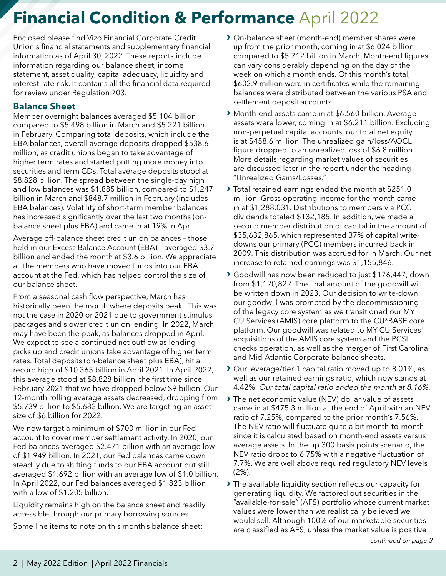Enclosed please find Vizo Financial Corporate Credit Union's financial statements and supplementary financial information as of April 30, 2022. These reports include information regarding our balance sheet, income statement, asset quality, capital adequacy, liquidity and interest rate risk. It contains all the financial data required for review under Regulation 703.

### **Balance Sheet**

Member overnight balances averaged \$5.104 billion compared to \$5.498 billion in March and \$5.221 billion in February. Comparing total deposits, which include the EBA balances, overall average deposits dropped \$538.6 million, as credit unions began to take advantage of higher term rates and started putting more money into securities and term CDs. Total average deposits stood at \$8.828 billion. The spread between the single-day high and low balances was \$1.885 billion, compared to \$1.247 billion in March and \$848.7 million in February (includes EBA balances). Volatility of short-term member balances has increased significantly over the last two months (onbalance sheet plus EBA) and came in at 19% in April.

Average off-balance sheet credit union balances – those held in our Excess Balance Account (EBA) – averaged \$3.7 billion and ended the month at \$3.6 billion. We appreciate all the members who have moved funds into our EBA account at the Fed, which has helped control the size of our balance sheet.

From a seasonal cash flow perspective, March has historically been the month where deposits peak. This was not the case in 2020 or 2021 due to government stimulus packages and slower credit union lending. In 2022, March may have been the peak, as balances dropped in April. We expect to see a continued net outflow as lending picks up and credit unions take advantage of higher term rates. Total deposits (on-balance sheet plus EBA), hit a record high of \$10.365 billion in April 2021. In April 2022, this average stood at \$8.828 billion, the first time since February 2021 that we have dropped below \$9 billion. Our 12-month rolling average assets decreased, dropping from \$5.739 billion to \$5.682 billion. We are targeting an asset size of \$6 billion for 2022.

We now target a minimum of \$700 million in our Fed account to cover member settlement activity. In 2020, our Fed balances averaged \$2.471 billion with an average low of \$1.949 billion. In 2021, our Fed balances came down steadily due to shifting funds to our EBA account but still averaged \$1.692 billion with an average low of \$1.0 billion. In April 2022, our Fed balances averaged \$1.823 billion with a low of \$1.205 billion.

Liquidity remains high on the balance sheet and readily accessible through our primary borrowing sources.

Some line items to note on this month's balance sheet:

- **›** On-balance sheet (month-end) member shares were up from the prior month, coming in at \$6.024 billion compared to \$5.712 billion in March. Month-end figures can vary considerably depending on the day of the week on which a month ends. Of this month's total, \$602.9 million were in certificates while the remaining balances were distributed between the various PSA and settlement deposit accounts.
- **›** Month-end assets came in at \$6.560 billion. Average assets were lower, coming in at \$6.211 billion. Excluding non-perpetual capital accounts, our total net equity is at \$458.6 million. The unrealized gain/loss/AOCL figure dropped to an unrealized loss of \$6.8 million. More details regarding market values of securities are discussed later in the report under the heading "Unrealized Gains/Losses."
- **›** Total retained earnings ended the month at \$251.0 million. Gross operating income for the month came in at \$1,288,031. Distributions to members via PCC dividends totaled \$132,185. In addition, we made a second member distribution of capital in the amount of \$35,632,865, which represented 37% of capital writedowns our primary (PCC) members incurred back in 2009. This distribution was accrued for in March. Our net increase to retained earnings was \$1,155,846.
- **›** Goodwill has now been reduced to just \$176,447, down from \$1,120,822. The final amount of the goodwill will be written down in 2023. Our decision to write-down our goodwill was prompted by the decommissioning of the legacy core system as we transitioned our MY CU Services (AMIS) core platform to the CU\*BASE core platform. Our goodwill was related to MY CU Services' acquisitions of the AMIS core system and the PCSI checks operation, as well as the merger of First Carolina and Mid-Atlantic Corporate balance sheets.
- **›** Our leverage/tier 1 capital ratio moved up to 8.01%, as well as our retained earnings ratio, which now stands at 4.42%. Our total capital ratio ended the month at 8.16%.
- **›** The net economic value (NEV) dollar value of assets came in at \$475.3 million at the end of April with an NEV ratio of 7.25%, compared to the prior month's 7.56%. The NEV ratio will fluctuate quite a bit month-to-month since it is calculated based on month-end assets versus average assets. In the up 300 basis points scenario, the NEV ratio drops to 6.75% with a negative fluctuation of 7.7%. We are well above required regulatory NEV levels (2%).
- **›** The available liquidity section reflects our capacity for generating liquidity. We factored out securities in the "available-for-sale" (AFS) portfolio whose current market values were lower than we realistically believed we would sell. Although 100% of our marketable securities are classified as AFS, unless the market value is positive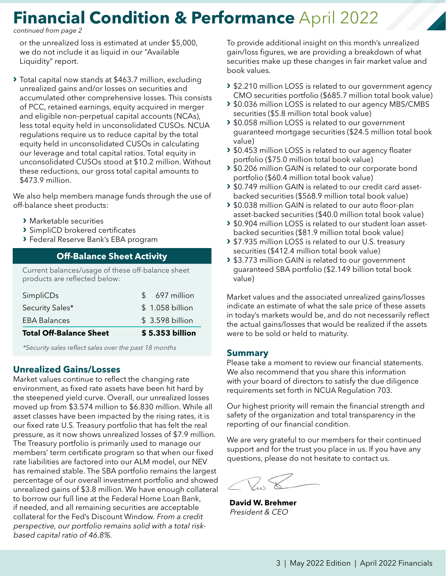continued from page 2

or the unrealized loss is estimated at under \$5,000, we do not include it as liquid in our "Available Liquidity" report.

**›** Total capital now stands at \$463.7 million, excluding unrealized gains and/or losses on securities and accumulated other comprehensive losses. This consists of PCC, retained earnings, equity acquired in merger and eligible non-perpetual capital accounts (NCAs), less total equity held in unconsolidated CUSOs. NCUA regulations require us to reduce capital by the total equity held in unconsolidated CUSOs in calculating our leverage and total capital ratios. Total equity in unconsolidated CUSOs stood at \$10.2 million. Without these reductions, our gross total capital amounts to \$473.9 million.

We also help members manage funds through the use of off-balance sheet products:

- **›** Marketable securities
- **›** SimpliCD brokered certificates
- **›** Federal Reserve Bank's EBA program

#### **Off-Balance Sheet Activity**

Current balances/usage of these off-balance sheet products are reflected below:

| <b>Total Off-Balance Sheet</b> |               | \$5.353 billion |
|--------------------------------|---------------|-----------------|
| <b>EBA Balances</b>            |               | \$3.598 billion |
| Security Sales*                |               | \$1.058 billion |
| SimpliCDs                      | $\mathcal{S}$ | 697 million     |

\*Security sales reflect sales over the past 18 months

#### **Unrealized Gains/Losses**

Market values continue to reflect the changing rate environment, as fixed rate assets have been hit hard by the steepened yield curve. Overall, our unrealized losses moved up from \$3.574 million to \$6.830 million. While all asset classes have been impacted by the rising rates, it is our fixed rate U.S. Treasury portfolio that has felt the real pressure, as it now shows unrealized losses of \$7.9 million. The Treasury portfolio is primarily used to manage our members' term certificate program so that when our fixed rate liabilities are factored into our ALM model, our NEV has remained stable. The SBA portfolio remains the largest percentage of our overall investment portfolio and showed unrealized gains of \$3.8 million. We have enough collateral to borrow our full line at the Federal Home Loan Bank, if needed, and all remaining securities are acceptable collateral for the Fed's Discount Window. From a credit perspective, our portfolio remains solid with a total riskbased capital ratio of 46.8%.

To provide additional insight on this month's unrealized gain/loss figures, we are providing a breakdown of what securities make up these changes in fair market value and book values.

- **›** \$2.210 million LOSS is related to our government agency CMO securities portfolio (\$685.7 million total book value)
- **›** \$0.036 million LOSS is related to our agency MBS/CMBS securities (\$5.8 million total book value)
- **›** \$0.058 million LOSS is related to our government guaranteed mortgage securities (\$24.5 million total book value)
- **›** \$0.453 million LOSS is related to our agency floater portfolio (\$75.0 million total book value)
- **›** \$0.206 million GAIN is related to our corporate bond portfolio (\$60.4 million total book value)
- **›** \$0.749 million GAIN is related to our credit card assetbacked securities (\$568.9 million total book value)
- **›** \$0.038 million GAIN is related to our auto floor-plan asset-backed securities (\$40.0 million total book value)
- **›** \$0.904 million LOSS is related to our student loan assetbacked securities (\$81.9 million total book value)
- **›** \$7.935 million LOSS is related to our U.S. treasury securities (\$412.4 million total book value)
- **›** \$3.773 million GAIN is related to our government guaranteed SBA portfolio (\$2.149 billion total book value)

Market values and the associated unrealized gains/losses indicate an estimate of what the sale price of these assets in today's markets would be, and do not necessarily reflect the actual gains/losses that would be realized if the assets were to be sold or held to maturity.

#### **Summary**

Please take a moment to review our financial statements. We also recommend that you share this information with your board of directors to satisfy the due diligence requirements set forth in NCUA Regulation 703.

Our highest priority will remain the financial strength and safety of the organization and total transparency in the reporting of our financial condition.

We are very grateful to our members for their continued support and for the trust you place in us. If you have any questions, please do not hesitate to contact us.

**David W. Brehmer** President & CEO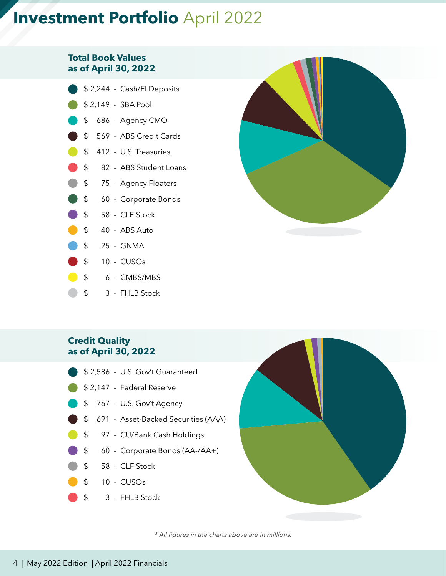# **Investment Portfolio** April 2022

#### **Total Book Values as of April 30, 2022**

- \$ 2,244 Cash/FI Deposits \$ 2,149 - SBA Pool \$ 686 - Agency CMO \$ 569 - ABS Credit Cards \$ 412 - U.S. Treasuries \$ 82 - ABS Student Loans \$ 75 - Agency Floaters \$ 60 - Corporate Bonds \$ 58 - CLF Stock  $$ 40 - ABS Auto$ \$ 25 - GNMA
- \$ 10 CUSOs
- $\begin{array}{ccc} \bullet & \bullet & \bullet & \bullet \end{array}$  CMBS/MBS
- \$ 3 FHLB Stock



### **Credit Quality as of April 30, 2022**

- \$ 2,586 U.S. Gov't Guaranteed
- \$ 2,147 Federal Reserve
- \$ 767 U.S. Gov't Agency
- \$ 691 Asset-Backed Securities (AAA)
- \$ 97 CU/Bank Cash Holdings
- \$ 60 Corporate Bonds (AA-/AA+)
- \$ 58 CLF Stock
- \$ 10 CUSOs
- \$ 3 FHLB Stock



\* All figures in the charts above are in millions.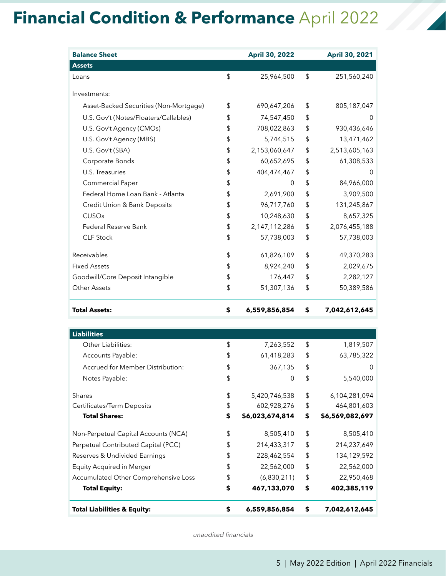| <b>Balance Sheet</b>                   | <b>April 30, 2022</b> | <b>April 30, 2021</b> |
|----------------------------------------|-----------------------|-----------------------|
| <b>Assets</b>                          |                       |                       |
| Loans                                  | \$<br>25,964,500      | \$<br>251,560,240     |
| Investments:                           |                       |                       |
| Asset-Backed Securities (Non-Mortgage) | \$<br>690,647,206     | \$<br>805,187,047     |
| U.S. Gov't (Notes/Floaters/Callables)  | \$<br>74,547,450      | \$<br>0               |
| U.S. Gov't Agency (CMOs)               | \$<br>708,022,863     | \$<br>930,436,646     |
| U.S. Gov't Agency (MBS)                | \$<br>5,744,515       | \$<br>13,471,462      |
| U.S. Gov't (SBA)                       | \$<br>2,153,060,647   | \$<br>2,513,605,163   |
| Corporate Bonds                        | \$<br>60,652,695      | \$<br>61,308,533      |
| U.S. Treasuries                        | \$<br>404,474,467     | \$<br>0               |
| Commercial Paper                       | \$<br>0               | \$<br>84,966,000      |
| Federal Home Loan Bank - Atlanta       | \$<br>2,691,900       | \$<br>3,909,500       |
| Credit Union & Bank Deposits           | \$<br>96,717,760      | \$<br>131,245,867     |
| CUSOs                                  | \$<br>10,248,630      | \$<br>8,657,325       |
| Federal Reserve Bank                   | \$<br>2,147,112,286   | \$<br>2,076,455,188   |
| <b>CLF Stock</b>                       | \$<br>57,738,003      | \$<br>57,738,003      |
| Receivables                            | \$<br>61,826,109      | \$<br>49,370,283      |
| <b>Fixed Assets</b>                    | \$<br>8,924,240       | \$<br>2,029,675       |
| Goodwill/Core Deposit Intangible       | \$<br>176,447         | \$<br>2,282,127       |
| <b>Other Assets</b>                    | \$<br>51,307,136      | \$<br>50,389,586      |
| <b>Total Assets:</b>                   | \$<br>6,559,856,854   | \$<br>7,042,612,645   |
|                                        |                       |                       |
| <b>Liabilities</b>                     |                       |                       |
| Other Liabilities:                     | \$<br>7,263,552       | \$<br>1,819,507       |
| Accounts Payable:                      | \$<br>61,418,283      | \$<br>63,785,322      |
| Accrued for Member Distribution:       | \$<br>367,135         | \$<br>0               |
| Notes Payable:                         | \$<br>$\mathbf 0$     | \$<br>5,540,000       |
| Shares                                 | \$<br>5,420,746,538   | \$<br>6,104,281,094   |

| <b>Total Liabilities &amp; Equity:</b>  | \$ | 6,559,856,854   | \$ | 7,042,612,645   |
|-----------------------------------------|----|-----------------|----|-----------------|
| <b>Total Equity:</b>                    | \$ | 467,133,070     | \$ | 402,385,119     |
| Accumulated Other Comprehensive Loss    | \$ | (6,830,211)     | \$ | 22,950,468      |
| <b>Equity Acquired in Merger</b>        | \$ | 22,562,000      | \$ | 22,562,000      |
| Reserves & Undivided Earnings           | \$ | 228,462,554     | \$ | 134,129,592     |
| Perpetual Contributed Capital (PCC)     | \$ | 214,433,317     | \$ | 214,237,649     |
| Non-Perpetual Capital Accounts (NCA)    | \$ | 8,505,410       | \$ | 8,505,410       |
| <b>Total Shares:</b>                    | \$ | \$6,023,674,814 | \$ | \$6,569,082,697 |
| Certificates/Term Deposits              | \$ | 602,928,276     | \$ | 464,801,603     |
| <b>Shares</b>                           | \$ | 5,420,746,538   | \$ | 6,104,281,094   |
| Notes Payable:                          | \$ | $\overline{0}$  | \$ | 5,540,000       |
| <b>Accrued for Member Distribution:</b> | \$ | 367,135         | \$ | $\Omega$        |
| Accounts Payable:                       | \$ | 61,418,283      | \$ | 63,785,322      |
| Other Liabilities:                      | S  | 7,263,552       | S  | 1,819,507       |

unaudited financials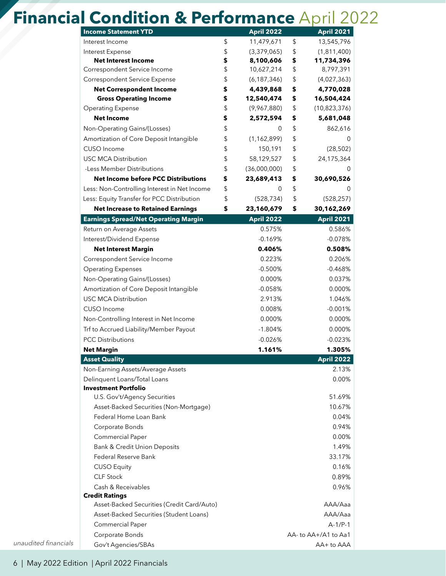|                      | <b>Income Statement YTD</b>                  | <b>April 2022</b>   | <b>April 2021</b>          |
|----------------------|----------------------------------------------|---------------------|----------------------------|
|                      | Interest Income                              | \$<br>11,479,671    | \$<br>13,545,796           |
|                      | Interest Expense                             | \$<br>(3,379,065)   | \$<br>(1,811,400)          |
|                      | <b>Net Interest Income</b>                   | \$<br>8,100,606     | \$<br>11,734,396           |
|                      | Correspondent Service Income                 | \$<br>10,627,214    | \$<br>8,797,391            |
|                      | Correspondent Service Expense                | \$<br>(6, 187, 346) | \$<br>(4,027,363)          |
|                      | <b>Net Correspondent Income</b>              | \$<br>4,439,868     | \$<br>4,770,028            |
|                      | <b>Gross Operating Income</b>                | \$<br>12,540,474    | \$<br>16,504,424           |
|                      | <b>Operating Expense</b>                     | \$<br>(9,967,880)   | \$<br>(10,823,376)         |
|                      | <b>Net Income</b>                            | \$<br>2,572,594     | \$<br>5,681,048            |
|                      | Non-Operating Gains/(Losses)                 | \$<br>0             | \$<br>862,616              |
|                      | Amortization of Core Deposit Intangible      | \$<br>(1, 162, 899) | \$<br>0                    |
|                      | CUSO Income                                  | \$<br>150,191       | \$<br>(28, 502)            |
|                      | <b>USC MCA Distribution</b>                  | \$<br>58,129,527    | \$<br>24,175,364           |
|                      | -Less Member Distributions                   | \$<br>(36,000,000)  | \$<br>0                    |
|                      | <b>Net Income before PCC Distributions</b>   | \$<br>23,689,413    | \$<br>30,690,526           |
|                      | Less: Non-Controlling Interest in Net Income | \$<br>0             | \$                         |
|                      | Less: Equity Transfer for PCC Distribution   | \$<br>(528, 734)    | \$<br>(528, 257)           |
|                      | <b>Net Increase to Retained Earnings</b>     | \$<br>23,160,679    | \$<br>30,162,269           |
|                      | <b>Earnings Spread/Net Operating Margin</b>  | <b>April 2022</b>   | <b>April 2021</b>          |
|                      | Return on Average Assets                     | 0.575%              | 0.586%                     |
|                      | Interest/Dividend Expense                    | $-0.169%$           | $-0.078%$                  |
|                      | <b>Net Interest Margin</b>                   | 0.406%              | 0.508%                     |
|                      | Correspondent Service Income                 | 0.223%              | 0.206%                     |
|                      | <b>Operating Expenses</b>                    | $-0.500%$           | $-0.468%$                  |
|                      | Non-Operating Gains/(Losses)                 | 0.000%              | 0.037%                     |
|                      | Amortization of Core Deposit Intangible      | $-0.058%$           | 0.000%                     |
|                      | <b>USC MCA Distribution</b>                  | 2.913%              | 1.046%                     |
|                      | CUSO Income                                  | 0.008%              | $-0.001%$                  |
|                      | Non-Controlling Interest in Net Income       | 0.000%              | 0.000%                     |
|                      | Trf to Accrued Liability/Member Payout       | $-1.804%$           | 0.000%                     |
|                      | <b>PCC Distributions</b>                     | $-0.026%$           | $-0.023%$                  |
|                      | <b>Net Margin</b>                            | 1.161%              | 1.305%                     |
|                      | <b>Asset Quality</b>                         |                     | <b>April 2022</b>          |
|                      | Non-Earning Assets/Average Assets            |                     | 2.13%                      |
|                      | Delinquent Loans/Total Loans                 |                     | 0.00%                      |
|                      | <b>Investment Portfolio</b>                  |                     |                            |
|                      | U.S. Gov't/Agency Securities                 |                     | 51.69%                     |
|                      | Asset-Backed Securities (Non-Mortgage)       |                     | 10.67%                     |
|                      | Federal Home Loan Bank                       |                     | 0.04%                      |
|                      | Corporate Bonds                              |                     | 0.94%                      |
|                      | Commercial Paper                             |                     | 0.00%                      |
|                      | Bank & Credit Union Deposits                 |                     | 1.49%                      |
|                      | Federal Reserve Bank                         |                     | 33.17%                     |
|                      | <b>CUSO Equity</b>                           |                     | 0.16%                      |
|                      | <b>CLF Stock</b>                             |                     | 0.89%                      |
|                      | Cash & Receivables                           |                     | 0.96%                      |
|                      | <b>Credit Ratings</b>                        |                     |                            |
|                      | Asset-Backed Securities (Credit Card/Auto)   |                     | AAA/Aaa                    |
|                      | Asset-Backed Securities (Student Loans)      |                     | AAA/Aaa                    |
|                      | Commercial Paper                             |                     | $A-1/P-1$                  |
| unaudited financials | Corporate Bonds                              |                     | $AA$ - to $AA$ +/A1 to Aa1 |
|                      | Gov't Agencies/SBAs                          |                     | AA+ to AAA                 |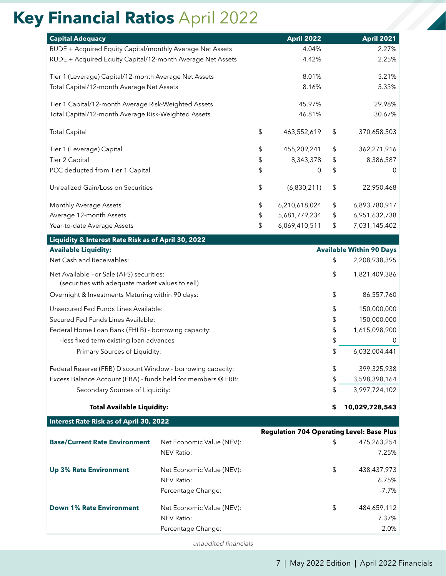# **Key Financial Ratios** April 2022

| <b>Financial Ratios April 2022</b>                                                           |                                                |                                                  |                                 |
|----------------------------------------------------------------------------------------------|------------------------------------------------|--------------------------------------------------|---------------------------------|
| <b>Capital Adequacy</b>                                                                      |                                                | <b>April 2022</b>                                | <b>April 2021</b>               |
| RUDE + Acquired Equity Capital/monthly Average Net Assets                                    |                                                | 4.04%                                            | 2.27%                           |
| RUDE + Acquired Equity Capital/12-month Average Net Assets                                   |                                                | 4.42%                                            | 2.25%                           |
| Tier 1 (Leverage) Capital/12-month Average Net Assets                                        |                                                | 8.01%                                            | 5.21%                           |
| Total Capital/12-month Average Net Assets                                                    |                                                | 8.16%                                            | 5.33%                           |
| Tier 1 Capital/12-month Average Risk-Weighted Assets                                         |                                                | 45.97%                                           | 29.98%                          |
| Total Capital/12-month Average Risk-Weighted Assets                                          |                                                | 46.81%                                           | 30.67%                          |
| <b>Total Capital</b>                                                                         |                                                | \$<br>463,552,619                                | \$<br>370,658,503               |
| Tier 1 (Leverage) Capital                                                                    |                                                | \$<br>455,209,241                                | \$<br>362,271,916               |
| Tier 2 Capital                                                                               |                                                | \$<br>8,343,378                                  | \$<br>8,386,587                 |
| PCC deducted from Tier 1 Capital                                                             |                                                | \$<br>0                                          | \$<br>0                         |
| Unrealized Gain/Loss on Securities                                                           |                                                | \$<br>(6,830,211)                                | \$<br>22,950,468                |
| Monthly Average Assets                                                                       |                                                | \$<br>6,210,618,024                              | \$<br>6,893,780,917             |
| Average 12-month Assets                                                                      |                                                | \$<br>5,681,779,234                              | \$<br>6,951,632,738             |
| Year-to-date Average Assets                                                                  |                                                | \$<br>6,069,410,511                              | \$<br>7,031,145,402             |
| Liquidity & Interest Rate Risk as of April 30, 2022                                          |                                                |                                                  |                                 |
| <b>Available Liquidity:</b>                                                                  |                                                |                                                  | <b>Available Within 90 Days</b> |
| Net Cash and Receivables:                                                                    |                                                |                                                  | \$<br>2,208,938,395             |
| Net Available For Sale (AFS) securities:<br>(securities with adequate market values to sell) |                                                |                                                  | \$<br>1,821,409,386             |
| Overnight & Investments Maturing within 90 days:                                             |                                                |                                                  | \$<br>86,557,760                |
| Unsecured Fed Funds Lines Available:                                                         |                                                |                                                  | \$<br>150,000,000               |
| Secured Fed Funds Lines Available:                                                           |                                                |                                                  | \$<br>150,000,000               |
| Federal Home Loan Bank (FHLB) - borrowing capacity:                                          |                                                |                                                  | \$<br>1,615,098,900             |
| -less fixed term existing loan advances                                                      |                                                |                                                  | \$<br>0                         |
| Primary Sources of Liquidity:                                                                |                                                |                                                  | \$<br>6,032,004,441             |
| Federal Reserve (FRB) Discount Window - borrowing capacity:                                  |                                                |                                                  | \$<br>399,325,938               |
| Excess Balance Account (EBA) - funds held for members @ FRB:                                 |                                                |                                                  | \$<br>3,598,398,164             |
| Secondary Sources of Liquidity:                                                              |                                                |                                                  | \$<br>3,997,724,102             |
| <b>Total Available Liquidity:</b>                                                            |                                                |                                                  | \$<br>10,029,728,543            |
| <b>Interest Rate Risk as of April 30, 2022</b>                                               |                                                |                                                  |                                 |
|                                                                                              |                                                | <b>Regulation 704 Operating Level: Base Plus</b> |                                 |
| <b>Base/Current Rate Environment</b>                                                         | Net Economic Value (NEV):<br><b>NEV Ratio:</b> |                                                  | \$<br>475,263,254<br>7.25%      |
| <b>Up 3% Rate Environment</b>                                                                | Net Economic Value (NEV):                      |                                                  | \$<br>438,437,973               |
|                                                                                              | <b>NEV Ratio:</b>                              |                                                  | 6.75%                           |
|                                                                                              | Percentage Change:                             |                                                  | $-7.7%$                         |
| <b>Down 1% Rate Environment</b>                                                              | Net Economic Value (NEV):                      |                                                  | \$<br>484,659,112               |
|                                                                                              |                                                |                                                  | 7.37%                           |
|                                                                                              | <b>NEV Ratio:</b>                              |                                                  |                                 |